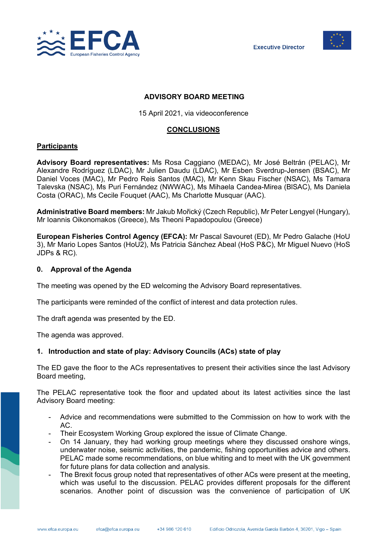



### **ADVISORY BOARD MEETING**

15 April 2021, via videoconference

## **CONCLUSIONS**

## **Participants**

**Advisory Board representatives:** Ms Rosa Caggiano (MEDAC), Mr José Beltrán (PELAC), Mr Alexandre Rodríguez (LDAC), Mr Julien Daudu (LDAC), Mr Esben Sverdrup-Jensen (BSAC), Mr Daniel Voces (MAC), Mr Pedro Reis Santos (MAC), Mr Kenn Skau Fischer (NSAC), Ms Tamara Talevska (NSAC), Ms Puri Fernández (NWWAC), Ms Mihaela Candea-Mirea (BlSAC), Ms Daniela Costa (ORAC), Ms Cecile Fouquet (AAC), Ms Charlotte Musquar (AAC).

**Administrative Board members:** Mr Jakub Mořický (Czech Republic), Mr Peter Lengyel (Hungary), Mr Ioannis Oikonomakos (Greece), Ms Theoni Papadopoulou (Greece)

**European Fisheries Control Agency (EFCA):** Mr Pascal Savouret (ED), Mr Pedro Galache (HoU 3), Mr Mario Lopes Santos (HoU2), Ms Patricia Sánchez Abeal (HoS P&C), Mr Miguel Nuevo (HoS JDPs & RC).

#### **0. Approval of the Agenda**

The meeting was opened by the ED welcoming the Advisory Board representatives.

The participants were reminded of the conflict of interest and data protection rules.

The draft agenda was presented by the ED.

The agenda was approved.

## **1. Introduction and state of play: Advisory Councils (ACs) state of play**

The ED gave the floor to the ACs representatives to present their activities since the last Advisory Board meeting,

The PELAC representative took the floor and updated about its latest activities since the last Advisory Board meeting:

- Advice and recommendations were submitted to the Commission on how to work with the AC.
- Their Ecosystem Working Group explored the issue of Climate Change.
- On 14 January, they had working group meetings where they discussed onshore wings, underwater noise, seismic activities, the pandemic, fishing opportunities advice and others. PELAC made some recommendations, on blue whiting and to meet with the UK government for future plans for data collection and analysis.
- The Brexit focus group noted that representatives of other ACs were present at the meeting, which was useful to the discussion. PELAC provides different proposals for the different scenarios. Another point of discussion was the convenience of participation of UK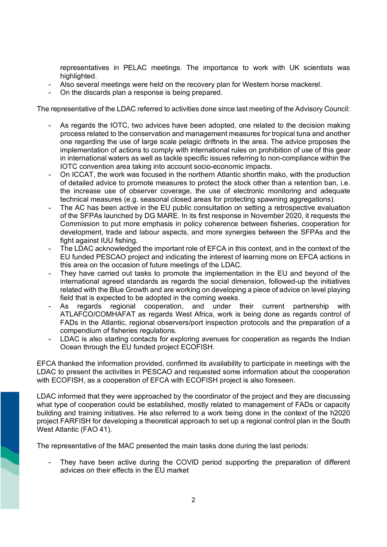representatives in PELAC meetings. The importance to work with UK scientists was highlighted.

- Also several meetings were held on the recovery plan for Western horse mackerel.
- On the discards plan a response is being prepared.

The representative of the LDAC referred to activities done since last meeting of the Advisory Council:

- As regards the IOTC, two advices have been adopted, one related to the decision making process related to the conservation and management measures for tropical tuna and another one regarding the use of large scale pelagic driftnets in the area. The advice proposes the implementation of actions to comply with international rules on prohibition of use of this gear in international waters as well as tackle specific issues referring to non-compliance within the IOTC convention area taking into account socio-economic impacts.
- On ICCAT, the work was focused in the northern Atlantic shortfin mako, with the production of detailed advice to promote measures to protect the stock other than a retention ban, i.e. the increase use of observer coverage, the use of electronic monitoring and adequate technical measures (e.g. seasonal closed areas for protecting spawning aggregations).
- The AC has been active in the EU public consultation on setting a retrospective evaluation of the SFPAs launched by DG MARE. In its first response in November 2020, it requests the Commission to put more emphasis in policy coherence between fisheries, cooperation for development, trade and labour aspects, and more synergies between the SFPAs and the fight against IUU fishing.
- The LDAC acknowledged the important role of EFCA in this context, and in the context of the EU funded PESCAO project and indicating the interest of learning more on EFCA actions in this area on the occasion of future meetings of the LDAC.
- They have carried out tasks to promote the implementation in the EU and beyond of the international agreed standards as regards the social dimension, followed-up the initiatives related with the Blue Growth and are working on developing a piece of advice on level playing field that is expected to be adopted in the coming weeks.
- As regards regional cooperation, and under their current partnership with ATLAFCO/COMHAFAT as regards West Africa, work is being done as regards control of FADs in the Atlantic, regional observers/port inspection protocols and the preparation of a compendium of fisheries regulations.
- LDAC is also starting contacts for exploring avenues for cooperation as regards the Indian Ocean through the EU funded project ECOFISH.

EFCA thanked the information provided, confirmed its availability to participate in meetings with the LDAC to present the activities in PESCAO and requested some information about the cooperation with ECOFISH, as a cooperation of EFCA with ECOFISH project is also foreseen.

LDAC informed that they were approached by the coordinator of the project and they are discussing what type of cooperation could be established, mostly related to management of FADs or capacity building and training initiatives. He also referred to a work being done in the context of the h2020 project FARFISH for developing a theoretical approach to set up a regional control plan in the South West Atlantic (FAO 41).

The representative of the MAC presented the main tasks done during the last periods:

They have been active during the COVID period supporting the preparation of different advices on their effects in the EU market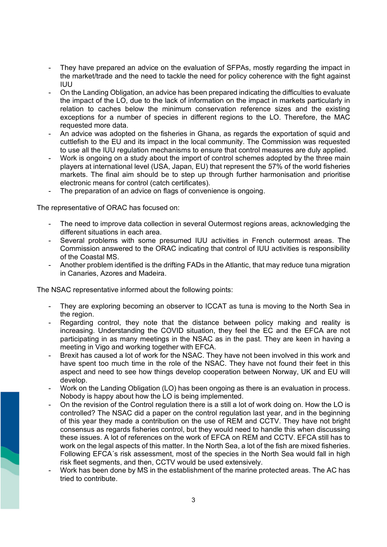- They have prepared an advice on the evaluation of SFPAs, mostly regarding the impact in the market/trade and the need to tackle the need for policy coherence with the fight against IUU
- On the Landing Obligation, an advice has been prepared indicating the difficulties to evaluate the impact of the LO, due to the lack of information on the impact in markets particularly in relation to caches below the minimum conservation reference sizes and the existing exceptions for a number of species in different regions to the LO. Therefore, the MAC requested more data.
- An advice was adopted on the fisheries in Ghana, as regards the exportation of squid and cuttlefish to the EU and its impact in the local community. The Commission was requested to use all the IUU regulation mechanisms to ensure that control measures are duly applied.
- Work is ongoing on a study about the import of control schemes adopted by the three main players at international level (USA, Japan, EU) that represent the 57% of the world fisheries markets. The final aim should be to step up through further harmonisation and prioritise electronic means for control (catch certificates).
- The preparation of an advice on flags of convenience is ongoing.

The representative of ORAC has focused on:

- The need to improve data collection in several Outermost regions areas, acknowledging the different situations in each area.
- Several problems with some presumed IUU activities in French outermost areas. The Commission answered to the ORAC indicating that control of IUU activities is responsibility of the Coastal MS.
- Another problem identified is the drifting FADs in the Atlantic, that may reduce tuna migration in Canaries, Azores and Madeira.

The NSAC representative informed about the following points:

- They are exploring becoming an observer to ICCAT as tuna is moving to the North Sea in the region.
- Regarding control, they note that the distance between policy making and reality is increasing. Understanding the COVID situation, they feel the EC and the EFCA are not participating in as many meetings in the NSAC as in the past. They are keen in having a meeting in Vigo and working together with EFCA.
- Brexit has caused a lot of work for the NSAC. They have not been involved in this work and have spent too much time in the role of the NSAC. They have not found their feet in this aspect and need to see how things develop cooperation between Norway, UK and EU will develop.
- Work on the Landing Obligation (LO) has been ongoing as there is an evaluation in process. Nobody is happy about how the LO is being implemented.
- On the revision of the Control regulation there is a still a lot of work doing on. How the LO is controlled? The NSAC did a paper on the control regulation last year, and in the beginning of this year they made a contribution on the use of REM and CCTV. They have not bright consensus as regards fisheries control, but they would need to handle this when discussing these issues. A lot of references on the work of EFCA on REM and CCTV. EFCA still has to work on the legal aspects of this matter. In the North Sea, a lot of the fish are mixed fisheries. Following EFCA´s risk assessment, most of the species in the North Sea would fall in high risk fleet segments, and then, CCTV would be used extensively.
- Work has been done by MS in the establishment of the marine protected areas. The AC has tried to contribute.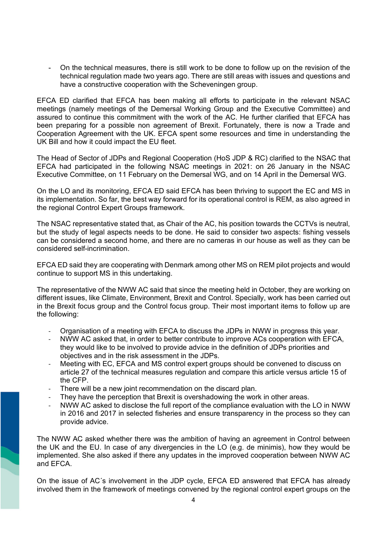- On the technical measures, there is still work to be done to follow up on the revision of the technical regulation made two years ago. There are still areas with issues and questions and have a constructive cooperation with the Scheveningen group.

EFCA ED clarified that EFCA has been making all efforts to participate in the relevant NSAC meetings (namely meetings of the Demersal Working Group and the Executive Committee) and assured to continue this commitment with the work of the AC. He further clarified that EFCA has been preparing for a possible non agreement of Brexit. Fortunately, there is now a Trade and Cooperation Agreement with the UK. EFCA spent some resources and time in understanding the UK Bill and how it could impact the EU fleet.

The Head of Sector of JDPs and Regional Cooperation (HoS JDP & RC) clarified to the NSAC that EFCA had participated in the following NSAC meetings in 2021: on 26 January in the NSAC Executive Committee, on 11 February on the Demersal WG, and on 14 April in the Demersal WG.

On the LO and its monitoring, EFCA ED said EFCA has been thriving to support the EC and MS in its implementation. So far, the best way forward for its operational control is REM, as also agreed in the regional Control Expert Groups framework.

The NSAC representative stated that, as Chair of the AC, his position towards the CCTVs is neutral, but the study of legal aspects needs to be done. He said to consider two aspects: fishing vessels can be considered a second home, and there are no cameras in our house as well as they can be considered self-incrimination.

EFCA ED said they are cooperating with Denmark among other MS on REM pilot projects and would continue to support MS in this undertaking.

The representative of the NWW AC said that since the meeting held in October, they are working on different issues, like Climate, Environment, Brexit and Control. Specially, work has been carried out in the Brexit focus group and the Control focus group. Their most important items to follow up are the following:

- Organisation of a meeting with EFCA to discuss the JDPs in NWW in progress this year.
- NWW AC asked that, in order to better contribute to improve ACs cooperation with EFCA. they would like to be involved to provide advice in the definition of JDPs priorities and objectives and in the risk assessment in the JDPs.
- Meeting with EC, EFCA and MS control expert groups should be convened to discuss on article 27 of the technical measures regulation and compare this article versus article 15 of the CFP.
- There will be a new joint recommendation on the discard plan.
- They have the perception that Brexit is overshadowing the work in other areas.
- NWW AC asked to disclose the full report of the compliance evaluation with the LO in NWW in 2016 and 2017 in selected fisheries and ensure transparency in the process so they can provide advice.

The NWW AC asked whether there was the ambition of having an agreement in Control between the UK and the EU. In case of any divergencies in the LO (e.g. de minimis), how they would be implemented. She also asked if there any updates in the improved cooperation between NWW AC and EFCA.

On the issue of AC´s involvement in the JDP cycle, EFCA ED answered that EFCA has already involved them in the framework of meetings convened by the regional control expert groups on the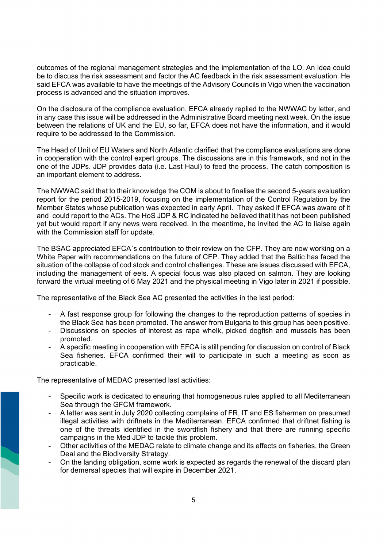outcomes of the regional management strategies and the implementation of the LO. An idea could be to discuss the risk assessment and factor the AC feedback in the risk assessment evaluation. He said EFCA was available to have the meetings of the Advisory Councils in Vigo when the vaccination process is advanced and the situation improves.

On the disclosure of the compliance evaluation, EFCA already replied to the NWWAC by letter, and in any case this issue will be addressed in the Administrative Board meeting next week. On the issue between the relations of UK and the EU, so far, EFCA does not have the information, and it would require to be addressed to the Commission.

The Head of Unit of EU Waters and North Atlantic clarified that the compliance evaluations are done in cooperation with the control expert groups. The discussions are in this framework, and not in the one of the JDPs. JDP provides data (i.e. Last Haul) to feed the process. The catch composition is an important element to address.

The NWWAC said that to their knowledge the COM is about to finalise the second 5-years evaluation report for the period 2015-2019, focusing on the implementation of the Control Regulation by the Member States whose publication was expected in early April. They asked if EFCA was aware of it and could report to the ACs. The HoS JDP & RC indicated he believed that it has not been published yet but would report if any news were received. In the meantime, he invited the AC to liaise again with the Commission staff for update.

The BSAC appreciated EFCA´s contribution to their review on the CFP. They are now working on a White Paper with recommendations on the future of CFP. They added that the Baltic has faced the situation of the collapse of cod stock and control challenges. These are issues discussed with EFCA, including the management of eels. A special focus was also placed on salmon. They are looking forward the virtual meeting of 6 May 2021 and the physical meeting in Vigo later in 2021 if possible.

The representative of the Black Sea AC presented the activities in the last period:

- A fast response group for following the changes to the reproduction patterns of species in the Black Sea has been promoted. The answer from Bulgaria to this group has been positive.
- Discussions on species of interest as rapa whelk, picked dogfish and mussels has been promoted.
- A specific meeting in cooperation with EFCA is still pending for discussion on control of Black Sea fisheries. EFCA confirmed their will to participate in such a meeting as soon as practicable.

The representative of MEDAC presented last activities:

- Specific work is dedicated to ensuring that homogeneous rules applied to all Mediterranean Sea through the GFCM framework.
- A letter was sent in July 2020 collecting complains of FR, IT and ES fishermen on presumed illegal activities with driftnets in the Mediterranean. EFCA confirmed that driftnet fishing is one of the threats identified in the swordfish fishery and that there are running specific campaigns in the Med JDP to tackle this problem.
- Other activities of the MEDAC relate to climate change and its effects on fisheries, the Green Deal and the Biodiversity Strategy.
- On the landing obligation, some work is expected as regards the renewal of the discard plan for demersal species that will expire in December 2021.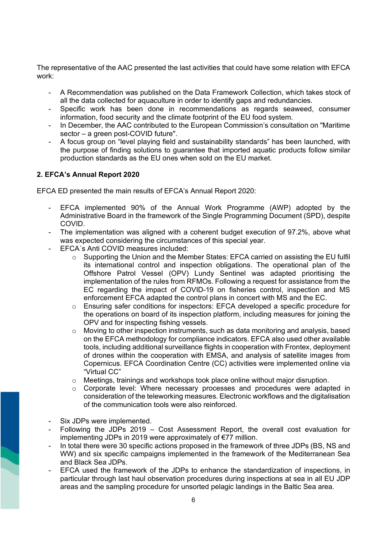The representative of the AAC presented the last activities that could have some relation with EFCA work:

- A Recommendation was published on the Data Framework Collection, which takes stock of all the data collected for aquaculture in order to identify gaps and redundancies.
- Specific work has been done in recommendations as regards seaweed, consumer information, food security and the climate footprint of the EU food system.
- In December, the AAC contributed to the European Commission's consultation on "Maritime sector – a green post-COVID future".
- A focus group on "level playing field and sustainability standards" has been launched, with the purpose of finding solutions to guarantee that imported aquatic products follow similar production standards as the EU ones when sold on the EU market.

## **2. EFCA's Annual Report 2020**

EFCA ED presented the main results of EFCA's Annual Report 2020:

- EFCA implemented 90% of the Annual Work Programme (AWP) adopted by the Administrative Board in the framework of the Single Programming Document (SPD), despite COVID.
- The implementation was aligned with a coherent budget execution of 97.2%, above what was expected considering the circumstances of this special year.
- EFCA´s Anti COVID measures included:
	- $\circ$  Supporting the Union and the Member States: EFCA carried on assisting the EU fulfil its international control and inspection obligations. The operational plan of the Offshore Patrol Vessel (OPV) Lundy Sentinel was adapted prioritising the implementation of the rules from RFMOs. Following a request for assistance from the EC regarding the impact of COVID-19 on fisheries control, inspection and MS enforcement EFCA adapted the control plans in concert with MS and the EC.
	- o Ensuring safer conditions for inspectors: EFCA developed a specific procedure for the operations on board of its inspection platform, including measures for joining the OPV and for inspecting fishing vessels.
	- o Moving to other inspection instruments, such as data monitoring and analysis, based on the EFCA methodology for compliance indicators. EFCA also used other available tools, including additional surveillance flights in cooperation with Frontex, deployment of drones within the cooperation with EMSA, and analysis of satellite images from Copernicus. EFCA Coordination Centre (CC) activities were implemented online via "Virtual CC"
	- o Meetings, trainings and workshops took place online without major disruption.
	- $\circ$  Corporate level: Where necessary processes and procedures were adapted in consideration of the teleworking measures. Electronic workflows and the digitalisation of the communication tools were also reinforced.
- Six JDPs were implemented.
- Following the JDPs 2019 Cost Assessment Report, the overall cost evaluation for implementing JDPs in 2019 were approximately of €77 million.
- In total there were 30 specific actions proposed in the framework of three JDPs (BS, NS and WW) and six specific campaigns implemented in the framework of the Mediterranean Sea and Black Sea JDPs.
- EFCA used the framework of the JDPs to enhance the standardization of inspections, in particular through last haul observation procedures during inspections at sea in all EU JDP areas and the sampling procedure for unsorted pelagic landings in the Baltic Sea area.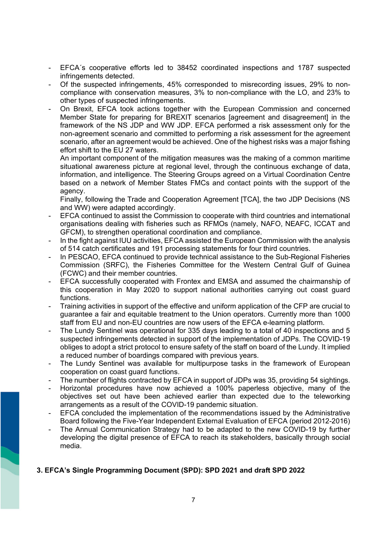- EFCA´s cooperative efforts led to 38452 coordinated inspections and 1787 suspected infringements detected.
- Of the suspected infringements, 45% corresponded to misrecording issues, 29% to noncompliance with conservation measures, 3% to non-compliance with the LO, and 23% to other types of suspected infringements.
- On Brexit, EFCA took actions together with the European Commission and concerned Member State for preparing for BREXIT scenarios [agreement and disagreement] in the framework of the NS JDP and WW JDP. EFCA performed a risk assessment only for the non-agreement scenario and committed to performing a risk assessment for the agreement scenario, after an agreement would be achieved. One of the highest risks was a major fishing effort shift to the EU 27 waters.

An important component of the mitigation measures was the making of a common maritime situational awareness picture at regional level, through the continuous exchange of data, information, and intelligence. The Steering Groups agreed on a Virtual Coordination Centre based on a network of Member States FMCs and contact points with the support of the agency.

Finally, following the Trade and Cooperation Agreement [TCA], the two JDP Decisions (NS and WW) were adapted accordingly.

- EFCA continued to assist the Commission to cooperate with third countries and international organisations dealing with fisheries such as RFMOs (namely, NAFO, NEAFC, ICCAT and GFCM), to strengthen operational coordination and compliance.
- In the fight against IUU activities, EFCA assisted the European Commission with the analysis of 514 catch certificates and 191 processing statements for four third countries.
- In PESCAO, EFCA continued to provide technical assistance to the Sub-Regional Fisheries Commission (SRFC), the Fisheries Committee for the Western Central Gulf of Guinea (FCWC) and their member countries.
- EFCA successfully cooperated with Frontex and EMSA and assumed the chairmanship of this cooperation in May 2020 to support national authorities carrying out coast guard functions.
- Training activities in support of the effective and uniform application of the CFP are crucial to guarantee a fair and equitable treatment to the Union operators. Currently more than 1000 staff from EU and non-EU countries are now users of the EFCA e-learning platform.
- The Lundy Sentinel was operational for 335 days leading to a total of 40 inspections and 5 suspected infringements detected in support of the implementation of JDPs. The COVID-19 obliges to adopt a strict protocol to ensure safety of the staff on board of the Lundy. It implied a reduced number of boardings compared with previous years.
- The Lundy Sentinel was available for multipurpose tasks in the framework of European cooperation on coast guard functions.
- The number of flights contracted by EFCA in support of JDPs was 35, providing 54 sightings.
- Horizontal procedures have now achieved a 100% paperless objective, many of the objectives set out have been achieved earlier than expected due to the teleworking arrangements as a result of the COVID-19 pandemic situation.
- EFCA concluded the implementation of the recommendations issued by the Administrative Board following the Five-Year Independent External Evaluation of EFCA (period 2012-2016)
- The Annual Communication Strategy had to be adapted to the new COVID-19 by further developing the digital presence of EFCA to reach its stakeholders, basically through social media.

# **3. EFCA's Single Programming Document (SPD): SPD 2021 and draft SPD 2022**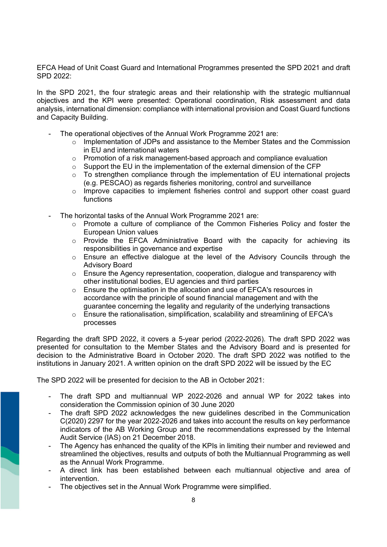EFCA Head of Unit Coast Guard and International Programmes presented the SPD 2021 and draft SPD 2022:

In the SPD 2021, the four strategic areas and their relationship with the strategic multiannual objectives and the KPI were presented: Operational coordination, Risk assessment and data analysis, international dimension: compliance with international provision and Coast Guard functions and Capacity Building.

- The operational objectives of the Annual Work Programme 2021 are:
	- $\circ$  Implementation of JDPs and assistance to the Member States and the Commission in EU and international waters
	- $\circ$  Promotion of a risk management-based approach and compliance evaluation
	- o Support the EU in the implementation of the external dimension of the CFP
	- $\circ$  To strengthen compliance through the implementation of EU international projects (e.g. PESCAO) as regards fisheries monitoring, control and surveillance
	- o Improve capacities to implement fisheries control and support other coast guard functions
- The horizontal tasks of the Annual Work Programme 2021 are:
	- $\circ$  Promote a culture of compliance of the Common Fisheries Policy and foster the European Union values
	- o Provide the EFCA Administrative Board with the capacity for achieving its responsibilities in governance and expertise
	- o Ensure an effective dialogue at the level of the Advisory Councils through the Advisory Board
	- o Ensure the Agency representation, cooperation, dialogue and transparency with other institutional bodies, EU agencies and third parties
	- $\circ$  Ensure the optimisation in the allocation and use of EFCA's resources in accordance with the principle of sound financial management and with the guarantee concerning the legality and regularity of the underlying transactions
	- o Ensure the rationalisation, simplification, scalability and streamlining of EFCA's processes

Regarding the draft SPD 2022, it covers a 5-year period (2022-2026). The draft SPD 2022 was presented for consultation to the Member States and the Advisory Board and is presented for decision to the Administrative Board in October 2020. The draft SPD 2022 was notified to the institutions in January 2021. A written opinion on the draft SPD 2022 will be issued by the EC

The SPD 2022 will be presented for decision to the AB in October 2021:

- The draft SPD and multiannual WP 2022-2026 and annual WP for 2022 takes into consideration the Commission opinion of 30 June 2020
- The draft SPD 2022 acknowledges the new guidelines described in the Communication C(2020) 2297 for the year 2022-2026 and takes into account the results on key performance indicators of the AB Working Group and the recommendations expressed by the Internal Audit Service (IAS) on 21 December 2018.
- The Agency has enhanced the quality of the KPIs in limiting their number and reviewed and streamlined the objectives, results and outputs of both the Multiannual Programming as well as the Annual Work Programme.
- A direct link has been established between each multiannual objective and area of intervention.
- The objectives set in the Annual Work Programme were simplified.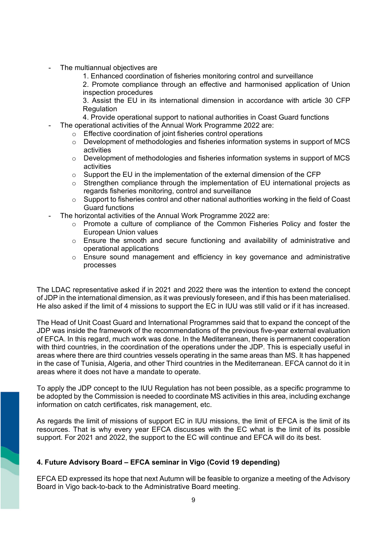- The multiannual objectives are
	- 1. Enhanced coordination of fisheries monitoring control and surveillance

2. Promote compliance through an effective and harmonised application of Union inspection procedures

3. Assist the EU in its international dimension in accordance with article 30 CFP **Regulation** 

- 4. Provide operational support to national authorities in Coast Guard functions
- The operational activities of the Annual Work Programme 2022 are:
	- o Effective coordination of joint fisheries control operations
	- $\circ$  Development of methodologies and fisheries information systems in support of MCS activities
	- $\circ$  Development of methodologies and fisheries information systems in support of MCS activities
	- $\circ$  Support the EU in the implementation of the external dimension of the CFP
	- o Strengthen compliance through the implementation of EU international projects as regards fisheries monitoring, control and surveillance
	- o Support to fisheries control and other national authorities working in the field of Coast Guard functions
- The horizontal activities of the Annual Work Programme 2022 are:
	- $\circ$  Promote a culture of compliance of the Common Fisheries Policy and foster the European Union values
	- $\circ$  Ensure the smooth and secure functioning and availability of administrative and operational applications
	- $\circ$  Ensure sound management and efficiency in key governance and administrative processes

The LDAC representative asked if in 2021 and 2022 there was the intention to extend the concept of JDP in the international dimension, as it was previously foreseen, and if this has been materialised. He also asked if the limit of 4 missions to support the EC in IUU was still valid or if it has increased.

The Head of Unit Coast Guard and International Programmes said that to expand the concept of the JDP was inside the framework of the recommendations of the previous five-year external evaluation of EFCA. In this regard, much work was done. In the Mediterranean, there is permanent cooperation with third countries, in the coordination of the operations under the JDP. This is especially useful in areas where there are third countries vessels operating in the same areas than MS. It has happened in the case of Tunisia, Algeria, and other Third countries in the Mediterranean. EFCA cannot do it in areas where it does not have a mandate to operate.

To apply the JDP concept to the IUU Regulation has not been possible, as a specific programme to be adopted by the Commission is needed to coordinate MS activities in this area, including exchange information on catch certificates, risk management, etc.

As regards the limit of missions of support EC in IUU missions, the limit of EFCA is the limit of its resources. That is why every year EFCA discusses with the EC what is the limit of its possible support. For 2021 and 2022, the support to the EC will continue and EFCA will do its best.

## **4. Future Advisory Board – EFCA seminar in Vigo (Covid 19 depending)**

EFCA ED expressed its hope that next Autumn will be feasible to organize a meeting of the Advisory Board in Vigo back-to-back to the Administrative Board meeting.